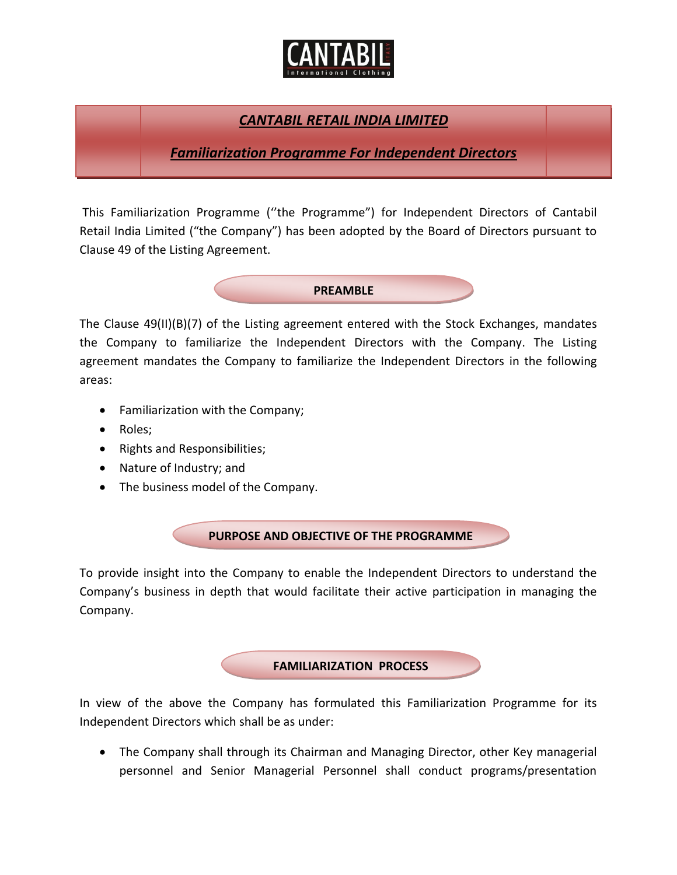

## *CANTABIL RETAIL INDIA LIMITED*

*Familiarization Programme For Independent Directors*

This Familiarization Programme (''the Programme") for Independent Directors of Cantabil Retail India Limited ("the Company") has been adopted by the Board of Directors pursuant to Clause 49 of the Listing Agreement.



The Clause 49(II)(B)(7) of the Listing agreement entered with the Stock Exchanges, mandates the Company to familiarize the Independent Directors with the Company. The Listing agreement mandates the Company to familiarize the Independent Directors in the following areas:

- Familiarization with the Company;
- Roles;
- Rights and Responsibilities;
- Nature of Industry; and
- The business model of the Company.

**PURPOSE AND OBJECTIVE OF THE PROGRAMME**

To provide insight into the Company to enable the Independent Directors to understand the Company's business in depth that would facilitate their active participation in managing the Company.

**FAMILIARIZATION PROCESS**

In view of the above the Company has formulated this Familiarization Programme for its Independent Directors which shall be as under:

 The Company shall through its Chairman and Managing Director, other Key managerial personnel and Senior Managerial Personnel shall conduct programs/presentation